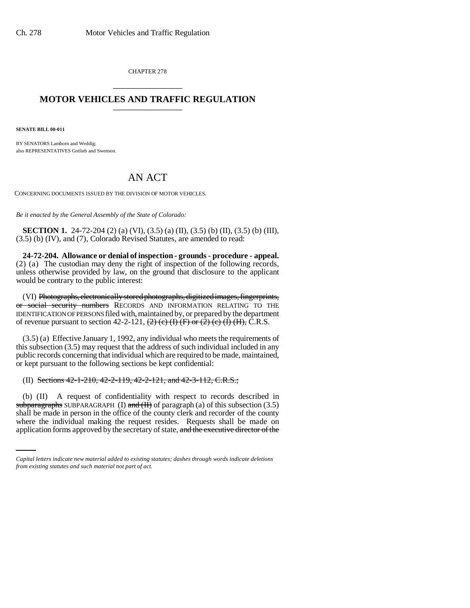CHAPTER 278 \_\_\_\_\_\_\_\_\_\_\_\_\_\_\_

## **MOTOR VEHICLES AND TRAFFIC REGULATION** \_\_\_\_\_\_\_\_\_\_\_\_\_\_\_

**SENATE BILL 00-011** 

BY SENATORS Lamborn and Weddig; also REPRESENTATIVES Gotlieb and Swenson.

## AN ACT

CONCERNING DOCUMENTS ISSUED BY THE DIVISION OF MOTOR VEHICLES.

*Be it enacted by the General Assembly of the State of Colorado:*

**SECTION 1.** 24-72-204 (2) (a) (VI), (3.5) (a) (II), (3.5) (b) (II), (3.5) (b) (III), (3.5) (b) (IV), and (7), Colorado Revised Statutes, are amended to read:

**24-72-204. Allowance or denial of inspection - grounds - procedure - appeal.** (2) (a) The custodian may deny the right of inspection of the following records, unless otherwise provided by law, on the ground that disclosure to the applicant would be contrary to the public interest:

(VI) Photographs, electronically stored photographs, digitized images, fingerprints, or social security numbers RECORDS AND INFORMATION RELATING TO THE IDENTIFICATION OF PERSONS filed with, maintained by, or prepared by the department of revenue pursuant to section 42-2-121,  $\left(2\right)$  (c)  $\left(1\right)$  (F) or  $\left(2\right)$  (c)  $\left(1\right)$  (H), C.R.S.

(3.5) (a) Effective January 1, 1992, any individual who meets the requirements of this subsection (3.5) may request that the address of such individual included in any public records concerning that individual which are required to be made, maintained, or kept pursuant to the following sections be kept confidential:

(II) Sections 42-1-210, 42-2-119, 42-2-121, and 42-3-112, C.R.S.;

shall be made in person in the office of the county clerk and recorder of the county (b) (II) A request of confidentiality with respect to records described in subparagraphs SUBPARAGRAPH (I) and  $(H)$  of paragraph (a) of this subsection (3.5) where the individual making the request resides. Requests shall be made on application forms approved by the secretary of state, and the executive director of the

*Capital letters indicate new material added to existing statutes; dashes through words indicate deletions from existing statutes and such material not part of act.*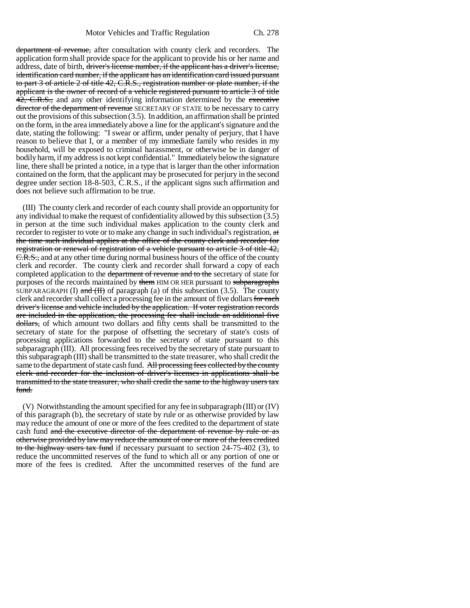department of revenue, after consultation with county clerk and recorders. The application form shall provide space for the applicant to provide his or her name and address, date of birth, driver's license number, if the applicant has a driver's license, identification card number, if the applicant has an identification card issued pursuant to part 3 of article 2 of title 42, C.R.S., registration number or plate number, if the applicant is the owner of record of a vehicle registered pursuant to article 3 of title 42, C.R.S., and any other identifying information determined by the executive director of the department of revenue SECRETARY OF STATE to be necessary to carry out the provisions of this subsection  $(3.5)$ . In addition, an affirmation shall be printed on the form, in the area immediately above a line for the applicant's signature and the date, stating the following: "I swear or affirm, under penalty of perjury, that I have reason to believe that I, or a member of my immediate family who resides in my household, will be exposed to criminal harassment, or otherwise be in danger of bodily harm, if my address is not kept confidential." Immediately below the signature line, there shall be printed a notice, in a type that is larger than the other information contained on the form, that the applicant may be prosecuted for perjury in the second degree under section 18-8-503, C.R.S., if the applicant signs such affirmation and does not believe such affirmation to be true.

(III) The county clerk and recorder of each county shall provide an opportunity for any individual to make the request of confidentiality allowed by this subsection (3.5) in person at the time such individual makes application to the county clerk and recorder to register to vote or to make any change in such individual's registration, at the time such individual applies at the office of the county clerk and recorder for registration or renewal of registration of a vehicle pursuant to article 3 of title 42, E.R.S., and at any other time during normal business hours of the office of the county clerk and recorder. The county clerk and recorder shall forward a copy of each completed application to the department of revenue and to the secretary of state for purposes of the records maintained by them HIM OR HER pursuant to subparagraphs SUBPARAGRAPH (I) and  $(H)$  of paragraph (a) of this subsection (3.5). The county clerk and recorder shall collect a processing fee in the amount of five dollars for each driver's license and vehicle included by the application. If voter registration records are included in the application, the processing fee shall include an additional five dollars, of which amount two dollars and fifty cents shall be transmitted to the secretary of state for the purpose of offsetting the secretary of state's costs of processing applications forwarded to the secretary of state pursuant to this subparagraph (III). All processing fees received by the secretary of state pursuant to this subparagraph (III) shall be transmitted to the state treasurer, who shall credit the same to the department of state cash fund. All processing fees collected by the county clerk and recorder for the inclusion of driver's licenses in applications shall be transmitted to the state treasurer, who shall credit the same to the highway users tax fund.

(V) Notwithstanding the amount specified for any fee in subparagraph (III) or (IV) of this paragraph (b), the secretary of state by rule or as otherwise provided by law may reduce the amount of one or more of the fees credited to the department of state cash fund and the executive director of the department of revenue by rule or as otherwise provided by law may reduce the amount of one or more of the fees credited to the highway users tax fund if necessary pursuant to section 24-75-402 (3), to reduce the uncommitted reserves of the fund to which all or any portion of one or more of the fees is credited. After the uncommitted reserves of the fund are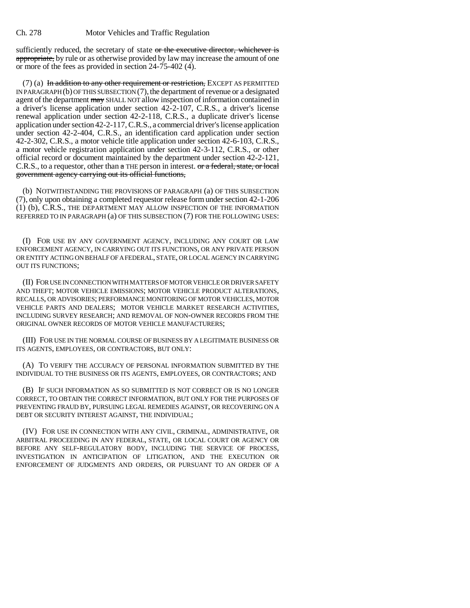sufficiently reduced, the secretary of state or the executive director, whichever is appropriate, by rule or as otherwise provided by law may increase the amount of one or more of the fees as provided in section 24-75-402 (4).

 $(7)$  (a) In addition to any other requirement or restriction, EXCEPT AS PERMITTED IN PARAGRAPH  $(b)$  OF THIS SUBSECTION  $(7)$ , the department of revenue or a designated agent of the department may SHALL NOT allow inspection of information contained in a driver's license application under section 42-2-107, C.R.S., a driver's license renewal application under section 42-2-118, C.R.S., a duplicate driver's license application under section 42-2-117, C.R.S., a commercial driver's license application under section 42-2-404, C.R.S., an identification card application under section 42-2-302, C.R.S., a motor vehicle title application under section 42-6-103, C.R.S., a motor vehicle registration application under section 42-3-112, C.R.S., or other official record or document maintained by the department under section 42-2-121, C.R.S., to a requestor, other than a THE person in interest. or a federal, state, or local government agency carrying out its official functions,

(b) NOTWITHSTANDING THE PROVISIONS OF PARAGRAPH (a) OF THIS SUBSECTION (7), only upon obtaining a completed requestor release form under section 42-1-206 (1) (b), C.R.S., THE DEPARTMENT MAY ALLOW INSPECTION OF THE INFORMATION REFERRED TO IN PARAGRAPH (a) OF THIS SUBSECTION (7) FOR THE FOLLOWING USES:

(I) FOR USE BY ANY GOVERNMENT AGENCY, INCLUDING ANY COURT OR LAW ENFORCEMENT AGENCY, IN CARRYING OUT ITS FUNCTIONS, OR ANY PRIVATE PERSON OR ENTITY ACTING ON BEHALF OF A FEDERAL, STATE, OR LOCAL AGENCY IN CARRYING OUT ITS FUNCTIONS;

(II) FOR USE IN CONNECTION WITH MATTERS OF MOTOR VEHICLE OR DRIVER SAFETY AND THEFT; MOTOR VEHICLE EMISSIONS; MOTOR VEHICLE PRODUCT ALTERATIONS, RECALLS, OR ADVISORIES; PERFORMANCE MONITORING OF MOTOR VEHICLES, MOTOR VEHICLE PARTS AND DEALERS; MOTOR VEHICLE MARKET RESEARCH ACTIVITIES, INCLUDING SURVEY RESEARCH; AND REMOVAL OF NON-OWNER RECORDS FROM THE ORIGINAL OWNER RECORDS OF MOTOR VEHICLE MANUFACTURERS;

(III) FOR USE IN THE NORMAL COURSE OF BUSINESS BY A LEGITIMATE BUSINESS OR ITS AGENTS, EMPLOYEES, OR CONTRACTORS, BUT ONLY:

(A) TO VERIFY THE ACCURACY OF PERSONAL INFORMATION SUBMITTED BY THE INDIVIDUAL TO THE BUSINESS OR ITS AGENTS, EMPLOYEES, OR CONTRACTORS; AND

(B) IF SUCH INFORMATION AS SO SUBMITTED IS NOT CORRECT OR IS NO LONGER CORRECT, TO OBTAIN THE CORRECT INFORMATION, BUT ONLY FOR THE PURPOSES OF PREVENTING FRAUD BY, PURSUING LEGAL REMEDIES AGAINST, OR RECOVERING ON A DEBT OR SECURITY INTEREST AGAINST, THE INDIVIDUAL;

(IV) FOR USE IN CONNECTION WITH ANY CIVIL, CRIMINAL, ADMINISTRATIVE, OR ARBITRAL PROCEEDING IN ANY FEDERAL, STATE, OR LOCAL COURT OR AGENCY OR BEFORE ANY SELF-REGULATORY BODY, INCLUDING THE SERVICE OF PROCESS, INVESTIGATION IN ANTICIPATION OF LITIGATION, AND THE EXECUTION OR ENFORCEMENT OF JUDGMENTS AND ORDERS, OR PURSUANT TO AN ORDER OF A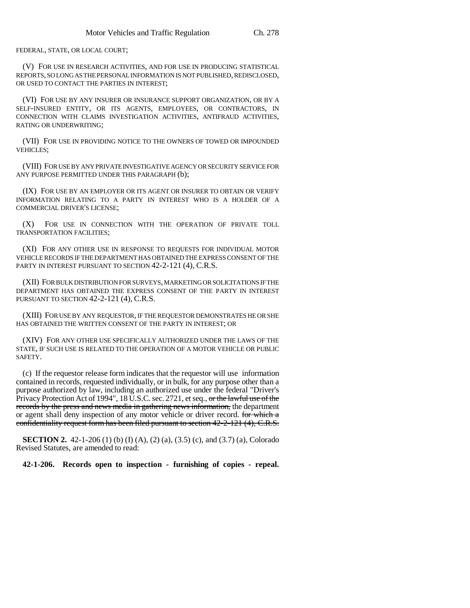FEDERAL, STATE, OR LOCAL COURT;

(V) FOR USE IN RESEARCH ACTIVITIES, AND FOR USE IN PRODUCING STATISTICAL REPORTS, SO LONG AS THE PERSONAL INFORMATION IS NOT PUBLISHED, REDISCLOSED, OR USED TO CONTACT THE PARTIES IN INTEREST;

(VI) FOR USE BY ANY INSURER OR INSURANCE SUPPORT ORGANIZATION, OR BY A SELF-INSURED ENTITY, OR ITS AGENTS, EMPLOYEES, OR CONTRACTORS, IN CONNECTION WITH CLAIMS INVESTIGATION ACTIVITIES, ANTIFRAUD ACTIVITIES, RATING OR UNDERWRITING;

(VII) FOR USE IN PROVIDING NOTICE TO THE OWNERS OF TOWED OR IMPOUNDED VEHICLES;

(VIII) FOR USE BY ANY PRIVATE INVESTIGATIVE AGENCY OR SECURITY SERVICE FOR ANY PURPOSE PERMITTED UNDER THIS PARAGRAPH (b);

(IX) FOR USE BY AN EMPLOYER OR ITS AGENT OR INSURER TO OBTAIN OR VERIFY INFORMATION RELATING TO A PARTY IN INTEREST WHO IS A HOLDER OF A COMMERCIAL DRIVER'S LICENSE;

(X) FOR USE IN CONNECTION WITH THE OPERATION OF PRIVATE TOLL TRANSPORTATION FACILITIES;

(XI) FOR ANY OTHER USE IN RESPONSE TO REQUESTS FOR INDIVIDUAL MOTOR VEHICLE RECORDS IF THE DEPARTMENT HAS OBTAINED THE EXPRESS CONSENT OF THE PARTY IN INTEREST PURSUANT TO SECTION 42-2-121 (4), C.R.S.

(XII) FOR BULK DISTRIBUTION FOR SURVEYS, MARKETING OR SOLICITATIONS IF THE DEPARTMENT HAS OBTAINED THE EXPRESS CONSENT OF THE PARTY IN INTEREST PURSUANT TO SECTION 42-2-121 (4), C.R.S.

(XIII) FOR USE BY ANY REQUESTOR, IF THE REQUESTOR DEMONSTRATES HE OR SHE HAS OBTAINED THE WRITTEN CONSENT OF THE PARTY IN INTEREST; OR

(XIV) FOR ANY OTHER USE SPECIFICALLY AUTHORIZED UNDER THE LAWS OF THE STATE, IF SUCH USE IS RELATED TO THE OPERATION OF A MOTOR VEHICLE OR PUBLIC **SAFETY** 

(c) If the requestor release form indicates that the requestor will use information contained in records, requested individually, or in bulk, for any purpose other than a purpose authorized by law, including an authorized use under the federal "Driver's Privacy Protection Act of 1994", 18 U.S.C. sec. 2721, et seq., or the lawful use of the records by the press and news media in gathering news information, the department or agent shall deny inspection of any motor vehicle or driver record. for which a confidentiality request form has been filed pursuant to section 42-2-121 (4), C.R.S.

**SECTION 2.** 42-1-206 (1) (b) (I) (A), (2) (a), (3.5) (c), and (3.7) (a), Colorado Revised Statutes, are amended to read:

**42-1-206. Records open to inspection - furnishing of copies - repeal.**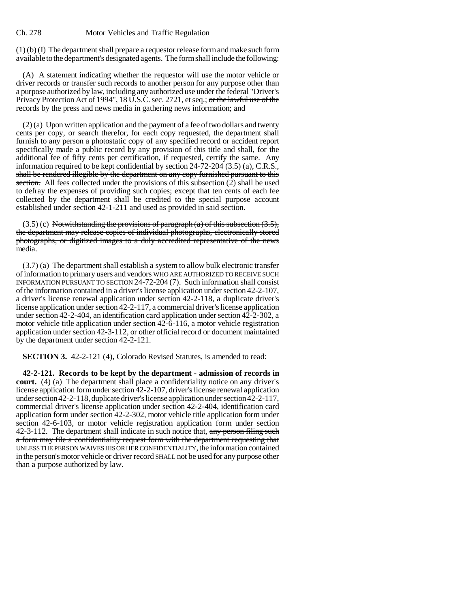(1) (b) (I) The department shall prepare a requestor release form and make such form available to the department's designated agents. The form shall include the following:

(A) A statement indicating whether the requestor will use the motor vehicle or driver records or transfer such records to another person for any purpose other than a purpose authorized by law, including any authorized use under the federal "Driver's Privacy Protection Act of 1994", 18 U.S.C. sec. 2721, et seq.; or the lawful use of the records by the press and news media in gathering news information; and

(2) (a) Upon written application and the payment of a fee of two dollars and twenty cents per copy, or search therefor, for each copy requested, the department shall furnish to any person a photostatic copy of any specified record or accident report specifically made a public record by any provision of this title and shall, for the additional fee of fifty cents per certification, if requested, certify the same. Any information required to be kept confidential by section 24-72-204 (3.5) (a), C.R.S., shall be rendered illegible by the department on any copy furnished pursuant to this section. All fees collected under the provisions of this subsection (2) shall be used to defray the expenses of providing such copies; except that ten cents of each fee collected by the department shall be credited to the special purpose account established under section 42-1-211 and used as provided in said section.

 $(3.5)$  (c) Notwithstanding the provisions of paragraph (a) of this subsection  $(3.5)$ , the department may release copies of individual photographs, electronically stored photographs, or digitized images to a duly accredited representative of the news media.

(3.7) (a) The department shall establish a system to allow bulk electronic transfer of information to primary users and vendors WHO ARE AUTHORIZED TO RECEIVE SUCH INFORMATION PURSUANT TO SECTION 24-72-204 (7). Such information shall consist of the information contained in a driver's license application under section 42-2-107, a driver's license renewal application under section 42-2-118, a duplicate driver's license application under section 42-2-117, a commercial driver's license application under section 42-2-404, an identification card application under section 42-2-302, a motor vehicle title application under section 42-6-116, a motor vehicle registration application under section 42-3-112, or other official record or document maintained by the department under section 42-2-121.

**SECTION 3.** 42-2-121 (4), Colorado Revised Statutes, is amended to read:

**42-2-121. Records to be kept by the department - admission of records in court.** (4) (a) The department shall place a confidentiality notice on any driver's license application form under section 42-2-107, driver's license renewal application under section 42-2-118, duplicate driver's license application under section 42-2-117, commercial driver's license application under section 42-2-404, identification card application form under section 42-2-302, motor vehicle title application form under section 42-6-103, or motor vehicle registration application form under section 42-3-112. The department shall indicate in such notice that, any person filing such a form may file a confidentiality request form with the department requesting that UNLESS THE PERSON WAIVES HIS OR HER CONFIDENTIALITY, the information contained in the person's motor vehicle or driver record SHALL not be used for any purpose other than a purpose authorized by law.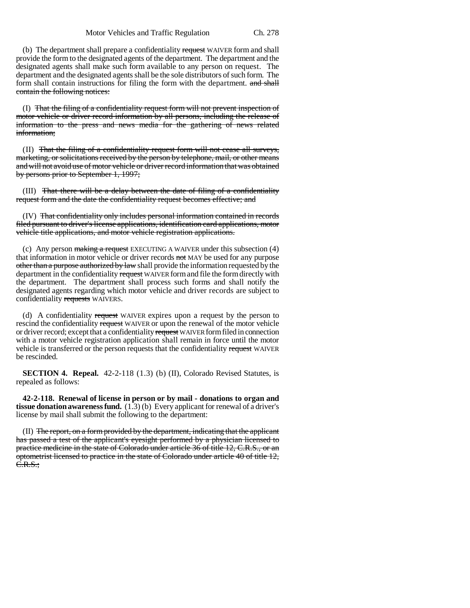(b) The department shall prepare a confidentiality request WAIVER form and shall provide the form to the designated agents of the department. The department and the designated agents shall make such form available to any person on request. The department and the designated agents shall be the sole distributors of such form. The form shall contain instructions for filing the form with the department. and shall contain the following notices:

(I) That the filing of a confidentiality request form will not prevent inspection of motor vehicle or driver record information by all persons, including the release of information to the press and news media for the gathering of news related information;

(II) That the filing of a confidentiality request form will not cease all surveys, marketing, or solicitations received by the person by telephone, mail, or other means and will not avoid use of motor vehicle or driver record information that was obtained by persons prior to September 1, 1997;

(III) That there will be a delay between the date of filing of a confidentiality request form and the date the confidentiality request becomes effective; and

(IV) That confidentiality only includes personal information contained in records filed pursuant to driver's license applications, identification card applications, motor vehicle title applications, and motor vehicle registration applications.

(c) Any person  $\frac{1}{2}$  making a request EXECUTING A WAIVER under this subsection (4) that information in motor vehicle or driver records not MAY be used for any purpose other than a purpose authorized by law shall provide the information requested by the department in the confidentiality request WAIVER form and file the form directly with the department. The department shall process such forms and shall notify the designated agents regarding which motor vehicle and driver records are subject to confidentiality requests WAIVERS.

(d) A confidentiality request WAIVER expires upon a request by the person to rescind the confidentiality request WAIVER or upon the renewal of the motor vehicle or driver record; except that a confidentiality request WAIVER form filed in connection with a motor vehicle registration application shall remain in force until the motor vehicle is transferred or the person requests that the confidentiality request WAIVER be rescinded.

**SECTION 4. Repeal.** 42-2-118 (1.3) (b) (II), Colorado Revised Statutes, is repealed as follows:

**42-2-118. Renewal of license in person or by mail - donations to organ and tissue donation awareness fund.** (1.3) (b) Every applicant for renewal of a driver's license by mail shall submit the following to the department:

(II) The report, on a form provided by the department, indicating that the applicant has passed a test of the applicant's eyesight performed by a physician licensed to practice medicine in the state of Colorado under article 36 of title 12, C.R.S., or an optometrist licensed to practice in the state of Colorado under article 40 of title 12,  $C.R.S.$ ;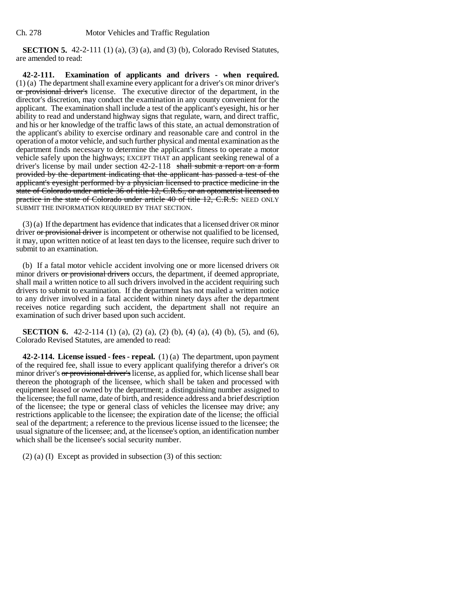**SECTION 5.** 42-2-111 (1) (a), (3) (a), and (3) (b), Colorado Revised Statutes, are amended to read:

**42-2-111. Examination of applicants and drivers - when required.** (1) (a) The department shall examine every applicant for a driver's OR minor driver's or provisional driver's license. The executive director of the department, in the director's discretion, may conduct the examination in any county convenient for the applicant. The examination shall include a test of the applicant's eyesight, his or her ability to read and understand highway signs that regulate, warn, and direct traffic, and his or her knowledge of the traffic laws of this state, an actual demonstration of the applicant's ability to exercise ordinary and reasonable care and control in the operation of a motor vehicle, and such further physical and mental examination as the department finds necessary to determine the applicant's fitness to operate a motor vehicle safely upon the highways; EXCEPT THAT an applicant seeking renewal of a driver's license by mail under section 42-2-118 shall submit a report on a form provided by the department indicating that the applicant has passed a test of the applicant's eyesight performed by a physician licensed to practice medicine in the state of Colorado under article 36 of title 12, C.R.S., or an optometrist licensed to practice in the state of Colorado under article 40 of title 12, C.R.S. NEED ONLY SUBMIT THE INFORMATION REQUIRED BY THAT SECTION.

(3) (a) If the department has evidence that indicates that a licensed driver OR minor driver or provisional driver is incompetent or otherwise not qualified to be licensed, it may, upon written notice of at least ten days to the licensee, require such driver to submit to an examination.

(b) If a fatal motor vehicle accident involving one or more licensed drivers OR minor drivers or provisional drivers occurs, the department, if deemed appropriate, shall mail a written notice to all such drivers involved in the accident requiring such drivers to submit to examination. If the department has not mailed a written notice to any driver involved in a fatal accident within ninety days after the department receives notice regarding such accident, the department shall not require an examination of such driver based upon such accident.

**SECTION 6.** 42-2-114 (1) (a), (2) (a), (2) (b), (4) (a), (4) (b), (5), and (6), Colorado Revised Statutes, are amended to read:

**42-2-114. License issued - fees - repeal.** (1) (a) The department, upon payment of the required fee, shall issue to every applicant qualifying therefor a driver's OR minor driver's or provisional driver's license, as applied for, which license shall bear thereon the photograph of the licensee, which shall be taken and processed with equipment leased or owned by the department; a distinguishing number assigned to the licensee; the full name, date of birth, and residence address and a brief description of the licensee; the type or general class of vehicles the licensee may drive; any restrictions applicable to the licensee; the expiration date of the license; the official seal of the department; a reference to the previous license issued to the licensee; the usual signature of the licensee; and, at the licensee's option, an identification number which shall be the licensee's social security number.

(2) (a) (I) Except as provided in subsection (3) of this section: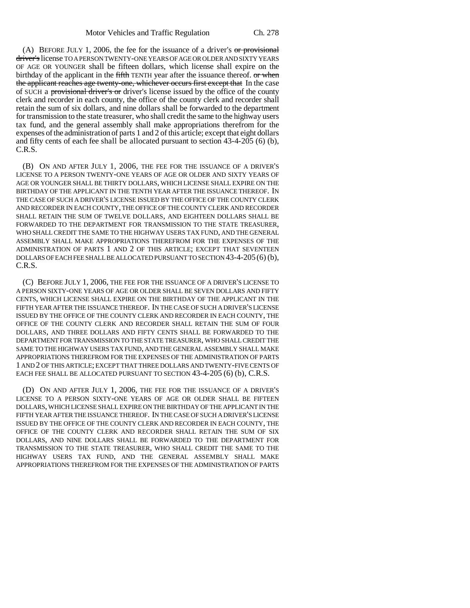(A) BEFORE JULY 1, 2006, the fee for the issuance of a driver's  $\sigma$  provisional driver's license TO A PERSON TWENTY-ONE YEARS OF AGE OR OLDER AND SIXTY YEARS OF AGE OR YOUNGER shall be fifteen dollars, which license shall expire on the birthday of the applicant in the fifth TENTH year after the issuance thereof. or when the applicant reaches age twenty-one, whichever occurs first except that In the case of SUCH a provisional driver's or driver's license issued by the office of the county clerk and recorder in each county, the office of the county clerk and recorder shall retain the sum of six dollars, and nine dollars shall be forwarded to the department for transmission to the state treasurer, who shall credit the same to the highway users tax fund, and the general assembly shall make appropriations therefrom for the expenses of the administration of parts 1 and 2 of this article; except that eight dollars and fifty cents of each fee shall be allocated pursuant to section 43-4-205 (6) (b), C.R.S.

(B) ON AND AFTER JULY 1, 2006, THE FEE FOR THE ISSUANCE OF A DRIVER'S LICENSE TO A PERSON TWENTY-ONE YEARS OF AGE OR OLDER AND SIXTY YEARS OF AGE OR YOUNGER SHALL BE THIRTY DOLLARS, WHICH LICENSE SHALL EXPIRE ON THE BIRTHDAY OF THE APPLICANT IN THE TENTH YEAR AFTER THE ISSUANCE THEREOF. IN THE CASE OF SUCH A DRIVER'S LICENSE ISSUED BY THE OFFICE OF THE COUNTY CLERK AND RECORDER IN EACH COUNTY, THE OFFICE OF THE COUNTY CLERK AND RECORDER SHALL RETAIN THE SUM OF TWELVE DOLLARS, AND EIGHTEEN DOLLARS SHALL BE FORWARDED TO THE DEPARTMENT FOR TRANSMISSION TO THE STATE TREASURER, WHO SHALL CREDIT THE SAME TO THE HIGHWAY USERS TAX FUND, AND THE GENERAL ASSEMBLY SHALL MAKE APPROPRIATIONS THEREFROM FOR THE EXPENSES OF THE ADMINISTRATION OF PARTS 1 AND 2 OF THIS ARTICLE; EXCEPT THAT SEVENTEEN DOLLARS OF EACH FEE SHALL BE ALLOCATED PURSUANT TO SECTION 43-4-205(6) (b), C.R.S.

(C) BEFORE JULY 1, 2006, THE FEE FOR THE ISSUANCE OF A DRIVER'S LICENSE TO A PERSON SIXTY-ONE YEARS OF AGE OR OLDER SHALL BE SEVEN DOLLARS AND FIFTY CENTS, WHICH LICENSE SHALL EXPIRE ON THE BIRTHDAY OF THE APPLICANT IN THE FIFTH YEAR AFTER THE ISSUANCE THEREOF. IN THE CASE OF SUCH A DRIVER'S LICENSE ISSUED BY THE OFFICE OF THE COUNTY CLERK AND RECORDER IN EACH COUNTY, THE OFFICE OF THE COUNTY CLERK AND RECORDER SHALL RETAIN THE SUM OF FOUR DOLLARS, AND THREE DOLLARS AND FIFTY CENTS SHALL BE FORWARDED TO THE DEPARTMENT FOR TRANSMISSION TO THE STATE TREASURER, WHO SHALL CREDIT THE SAME TO THE HIGHWAY USERS TAX FUND, AND THE GENERAL ASSEMBLY SHALL MAKE APPROPRIATIONS THEREFROM FOR THE EXPENSES OF THE ADMINISTRATION OF PARTS 1 AND 2 OF THIS ARTICLE; EXCEPT THAT THREE DOLLARS AND TWENTY-FIVE CENTS OF EACH FEE SHALL BE ALLOCATED PURSUANT TO SECTION 43-4-205 (6) (b), C.R.S.

(D) ON AND AFTER JULY 1, 2006, THE FEE FOR THE ISSUANCE OF A DRIVER'S LICENSE TO A PERSON SIXTY-ONE YEARS OF AGE OR OLDER SHALL BE FIFTEEN DOLLARS, WHICH LICENSE SHALL EXPIRE ON THE BIRTHDAY OF THE APPLICANT IN THE FIFTH YEAR AFTER THE ISSUANCE THEREOF. IN THE CASE OF SUCH A DRIVER'S LICENSE ISSUED BY THE OFFICE OF THE COUNTY CLERK AND RECORDER IN EACH COUNTY, THE OFFICE OF THE COUNTY CLERK AND RECORDER SHALL RETAIN THE SUM OF SIX DOLLARS, AND NINE DOLLARS SHALL BE FORWARDED TO THE DEPARTMENT FOR TRANSMISSION TO THE STATE TREASURER, WHO SHALL CREDIT THE SAME TO THE HIGHWAY USERS TAX FUND, AND THE GENERAL ASSEMBLY SHALL MAKE APPROPRIATIONS THEREFROM FOR THE EXPENSES OF THE ADMINISTRATION OF PARTS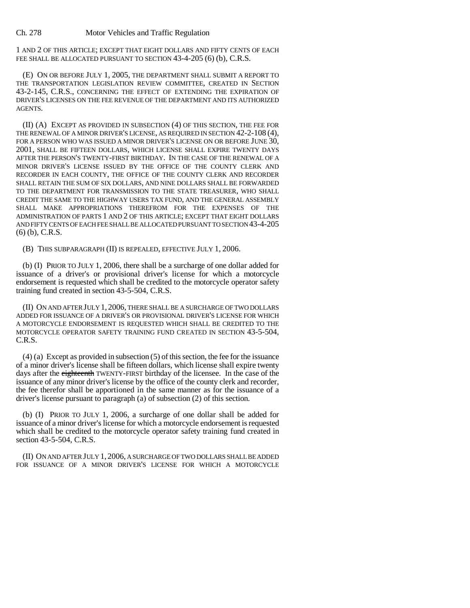1 AND 2 OF THIS ARTICLE; EXCEPT THAT EIGHT DOLLARS AND FIFTY CENTS OF EACH FEE SHALL BE ALLOCATED PURSUANT TO SECTION 43-4-205 (6) (b), C.R.S.

(E) ON OR BEFORE JULY 1, 2005, THE DEPARTMENT SHALL SUBMIT A REPORT TO THE TRANSPORTATION LEGISLATION REVIEW COMMITTEE, CREATED IN SECTION 43-2-145, C.R.S., CONCERNING THE EFFECT OF EXTENDING THE EXPIRATION OF DRIVER'S LICENSES ON THE FEE REVENUE OF THE DEPARTMENT AND ITS AUTHORIZED **AGENTS** 

(II) (A) EXCEPT AS PROVIDED IN SUBSECTION (4) OF THIS SECTION, THE FEE FOR THE RENEWAL OF A MINOR DRIVER'S LICENSE, AS REQUIRED IN SECTION 42-2-108 (4), FOR A PERSON WHO WAS ISSUED A MINOR DRIVER'S LICENSE ON OR BEFORE JUNE 30, 2001, SHALL BE FIFTEEN DOLLARS, WHICH LICENSE SHALL EXPIRE TWENTY DAYS AFTER THE PERSON'S TWENTY-FIRST BIRTHDAY. IN THE CASE OF THE RENEWAL OF A MINOR DRIVER'S LICENSE ISSUED BY THE OFFICE OF THE COUNTY CLERK AND RECORDER IN EACH COUNTY, THE OFFICE OF THE COUNTY CLERK AND RECORDER SHALL RETAIN THE SUM OF SIX DOLLARS, AND NINE DOLLARS SHALL BE FORWARDED TO THE DEPARTMENT FOR TRANSMISSION TO THE STATE TREASURER, WHO SHALL CREDIT THE SAME TO THE HIGHWAY USERS TAX FUND, AND THE GENERAL ASSEMBLY SHALL MAKE APPROPRIATIONS THEREFROM FOR THE EXPENSES OF THE ADMINISTRATION OF PARTS 1 AND 2 OF THIS ARTICLE; EXCEPT THAT EIGHT DOLLARS AND FIFTY CENTS OF EACH FEE SHALL BE ALLOCATED PURSUANT TO SECTION 43-4-205 (6) (b), C.R.S.

(B) THIS SUBPARAGRAPH (II) IS REPEALED, EFFECTIVE JULY 1, 2006.

(b) (I) PRIOR TO JULY 1, 2006, there shall be a surcharge of one dollar added for issuance of a driver's or provisional driver's license for which a motorcycle endorsement is requested which shall be credited to the motorcycle operator safety training fund created in section 43-5-504, C.R.S.

(II) ON AND AFTER JULY 1, 2006, THERE SHALL BE A SURCHARGE OF TWO DOLLARS ADDED FOR ISSUANCE OF A DRIVER'S OR PROVISIONAL DRIVER'S LICENSE FOR WHICH A MOTORCYCLE ENDORSEMENT IS REQUESTED WHICH SHALL BE CREDITED TO THE MOTORCYCLE OPERATOR SAFETY TRAINING FUND CREATED IN SECTION 43-5-504, C.R.S.

(4) (a) Except as provided in subsection (5) of this section, the fee for the issuance of a minor driver's license shall be fifteen dollars, which license shall expire twenty days after the eighteenth TWENTY-FIRST birthday of the licensee. In the case of the issuance of any minor driver's license by the office of the county clerk and recorder, the fee therefor shall be apportioned in the same manner as for the issuance of a driver's license pursuant to paragraph (a) of subsection (2) of this section.

(b) (I) PRIOR TO JULY 1, 2006, a surcharge of one dollar shall be added for issuance of a minor driver's license for which a motorcycle endorsement is requested which shall be credited to the motorcycle operator safety training fund created in section 43-5-504, C.R.S.

(II) ON AND AFTER JULY 1, 2006, A SURCHARGE OF TWO DOLLARS SHALL BE ADDED FOR ISSUANCE OF A MINOR DRIVER'S LICENSE FOR WHICH A MOTORCYCLE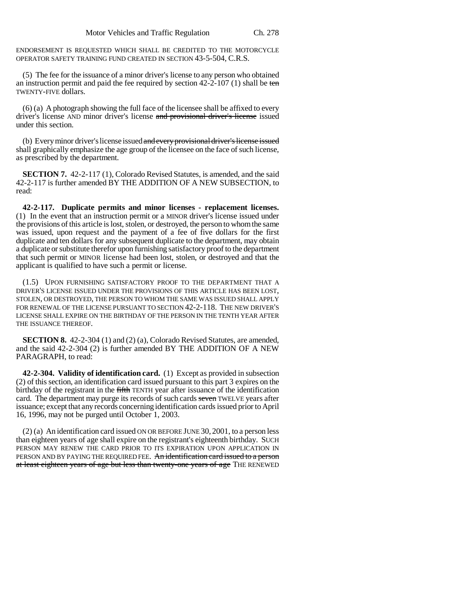ENDORSEMENT IS REQUESTED WHICH SHALL BE CREDITED TO THE MOTORCYCLE OPERATOR SAFETY TRAINING FUND CREATED IN SECTION 43-5-504, C.R.S.

(5) The fee for the issuance of a minor driver's license to any person who obtained an instruction permit and paid the fee required by section  $42-2-107$  (1) shall be ten TWENTY-FIVE dollars.

(6) (a) A photograph showing the full face of the licensee shall be affixed to every driver's license AND minor driver's license and provisional driver's license issued under this section.

(b) Every minor driver's license issued and every provisional driver's license issued shall graphically emphasize the age group of the licensee on the face of such license, as prescribed by the department.

**SECTION 7.** 42-2-117 (1), Colorado Revised Statutes, is amended, and the said 42-2-117 is further amended BY THE ADDITION OF A NEW SUBSECTION, to read:

**42-2-117. Duplicate permits and minor licenses - replacement licenses.** (1) In the event that an instruction permit or a MINOR driver's license issued under the provisions of this article is lost, stolen, or destroyed, the person to whom the same was issued, upon request and the payment of a fee of five dollars for the first duplicate and ten dollars for any subsequent duplicate to the department, may obtain a duplicate or substitute therefor upon furnishing satisfactory proof to the department that such permit or MINOR license had been lost, stolen, or destroyed and that the applicant is qualified to have such a permit or license.

(1.5) UPON FURNISHING SATISFACTORY PROOF TO THE DEPARTMENT THAT A DRIVER'S LICENSE ISSUED UNDER THE PROVISIONS OF THIS ARTICLE HAS BEEN LOST, STOLEN, OR DESTROYED, THE PERSON TO WHOM THE SAME WAS ISSUED SHALL APPLY FOR RENEWAL OF THE LICENSE PURSUANT TO SECTION 42-2-118. THE NEW DRIVER'S LICENSE SHALL EXPIRE ON THE BIRTHDAY OF THE PERSON IN THE TENTH YEAR AFTER THE ISSUANCE THEREOF.

**SECTION 8.** 42-2-304 (1) and (2) (a), Colorado Revised Statutes, are amended, and the said 42-2-304 (2) is further amended BY THE ADDITION OF A NEW PARAGRAPH, to read:

**42-2-304. Validity of identification card.** (1) Except as provided in subsection (2) of this section, an identification card issued pursuant to this part 3 expires on the birthday of the registrant in the fifth TENTH year after issuance of the identification card. The department may purge its records of such cards seven TWELVE years after issuance; except that any records concerning identification cards issued prior to April 16, 1996, may not be purged until October 1, 2003.

(2) (a) An identification card issued ON OR BEFORE JUNE 30, 2001, to a person less than eighteen years of age shall expire on the registrant's eighteenth birthday. SUCH PERSON MAY RENEW THE CARD PRIOR TO ITS EXPIRATION UPON APPLICATION IN PERSON AND BY PAYING THE REQUIRED FEE. An identification card issued to a person at least eighteen years of age but less than twenty-one years of age THE RENEWED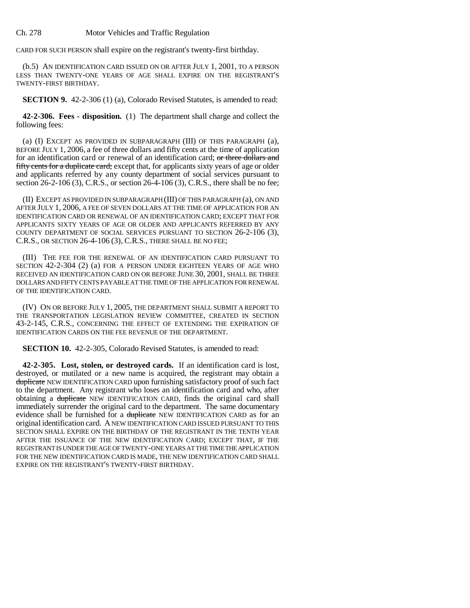CARD FOR SUCH PERSON shall expire on the registrant's twenty-first birthday.

(b.5) AN IDENTIFICATION CARD ISSUED ON OR AFTER JULY 1, 2001, TO A PERSON LESS THAN TWENTY-ONE YEARS OF AGE SHALL EXPIRE ON THE REGISTRANT'S TWENTY-FIRST BIRTHDAY.

**SECTION 9.** 42-2-306 (1) (a), Colorado Revised Statutes, is amended to read:

**42-2-306. Fees - disposition.** (1) The department shall charge and collect the following fees:

(a) (I) EXCEPT AS PROVIDED IN SUBPARAGRAPH (III) OF THIS PARAGRAPH (a), BEFORE JULY 1, 2006, a fee of three dollars and fifty cents at the time of application for an identification card or renewal of an identification card; or three dollars and fifty cents for a duplicate card; except that, for applicants sixty years of age or older and applicants referred by any county department of social services pursuant to section 26-2-106 (3), C.R.S., or section 26-4-106 (3), C.R.S., there shall be no fee;

(II) EXCEPT AS PROVIDED IN SUBPARAGRAPH (III) OF THIS PARAGRAPH (a), ON AND AFTER JULY 1, 2006, A FEE OF SEVEN DOLLARS AT THE TIME OF APPLICATION FOR AN IDENTIFICATION CARD OR RENEWAL OF AN IDENTIFICATION CARD; EXCEPT THAT FOR APPLICANTS SIXTY YEARS OF AGE OR OLDER AND APPLICANTS REFERRED BY ANY COUNTY DEPARTMENT OF SOCIAL SERVICES PURSUANT TO SECTION 26-2-106 (3), C.R.S., OR SECTION 26-4-106 (3), C.R.S., THERE SHALL BE NO FEE;

(III) THE FEE FOR THE RENEWAL OF AN IDENTIFICATION CARD PURSUANT TO SECTION 42-2-304 (2) (a) FOR A PERSON UNDER EIGHTEEN YEARS OF AGE WHO RECEIVED AN IDENTIFICATION CARD ON OR BEFORE JUNE 30, 2001, SHALL BE THREE DOLLARS AND FIFTY CENTS PAYABLE AT THE TIME OF THE APPLICATION FOR RENEWAL OF THE IDENTIFICATION CARD.

(IV) ON OR BEFORE JULY 1, 2005, THE DEPARTMENT SHALL SUBMIT A REPORT TO THE TRANSPORTATION LEGISLATION REVIEW COMMITTEE, CREATED IN SECTION 43-2-145, C.R.S., CONCERNING THE EFFECT OF EXTENDING THE EXPIRATION OF IDENTIFICATION CARDS ON THE FEE REVENUE OF THE DEPARTMENT.

**SECTION 10.** 42-2-305, Colorado Revised Statutes, is amended to read:

**42-2-305. Lost, stolen, or destroyed cards.** If an identification card is lost, destroyed, or mutilated or a new name is acquired, the registrant may obtain a duplicate NEW IDENTIFICATION CARD upon furnishing satisfactory proof of such fact to the department. Any registrant who loses an identification card and who, after obtaining a duplicate NEW IDENTIFICATION CARD, finds the original card shall immediately surrender the original card to the department. The same documentary evidence shall be furnished for a duplicate NEW IDENTIFICATION CARD as for an original identification card. A NEW IDENTIFICATION CARD ISSUED PURSUANT TO THIS SECTION SHALL EXPIRE ON THE BIRTHDAY OF THE REGISTRANT IN THE TENTH YEAR AFTER THE ISSUANCE OF THE NEW IDENTIFICATION CARD; EXCEPT THAT, IF THE REGISTRANT IS UNDER THE AGE OF TWENTY-ONE YEARS AT THE TIME THE APPLICATION FOR THE NEW IDENTIFICATION CARD IS MADE, THE NEW IDENTIFICATION CARD SHALL EXPIRE ON THE REGISTRANT'S TWENTY-FIRST BIRTHDAY.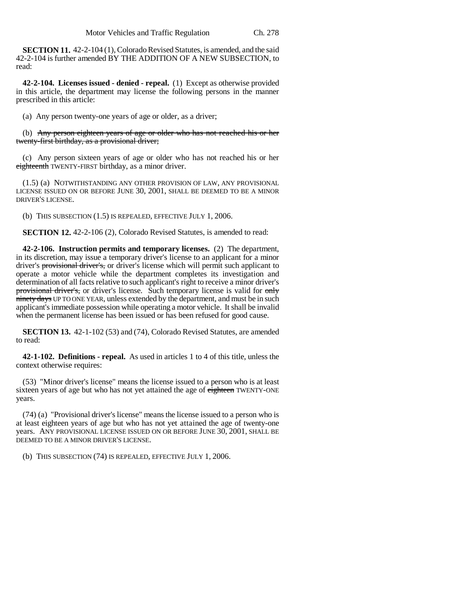**SECTION 11.** 42-2-104 (1), Colorado Revised Statutes, is amended, and the said 42-2-104 is further amended BY THE ADDITION OF A NEW SUBSECTION, to read:

**42-2-104. Licenses issued - denied - repeal.** (1) Except as otherwise provided in this article, the department may license the following persons in the manner prescribed in this article:

(a) Any person twenty-one years of age or older, as a driver;

(b) Any person eighteen years of age or older who has not reached his or her twenty-first birthday, as a provisional driver;

(c) Any person sixteen years of age or older who has not reached his or her eighteenth TWENTY-FIRST birthday, as a minor driver.

(1.5) (a) NOTWITHSTANDING ANY OTHER PROVISION OF LAW, ANY PROVISIONAL LICENSE ISSUED ON OR BEFORE JUNE 30, 2001, SHALL BE DEEMED TO BE A MINOR DRIVER'S LICENSE.

(b) THIS SUBSECTION (1.5) IS REPEALED, EFFECTIVE JULY 1, 2006.

**SECTION 12.** 42-2-106 (2), Colorado Revised Statutes, is amended to read:

**42-2-106. Instruction permits and temporary licenses.** (2) The department, in its discretion, may issue a temporary driver's license to an applicant for a minor driver's provisional driver's, or driver's license which will permit such applicant to operate a motor vehicle while the department completes its investigation and determination of all facts relative to such applicant's right to receive a minor driver's provisional driver's, or driver's license. Such temporary license is valid for only ninety days UP TO ONE YEAR, unless extended by the department, and must be in such applicant's immediate possession while operating a motor vehicle. It shall be invalid when the permanent license has been issued or has been refused for good cause.

**SECTION 13.** 42-1-102 (53) and (74), Colorado Revised Statutes, are amended to read:

**42-1-102. Definitions - repeal.** As used in articles 1 to 4 of this title, unless the context otherwise requires:

(53) "Minor driver's license" means the license issued to a person who is at least sixteen years of age but who has not yet attained the age of eighteen TWENTY-ONE years.

(74) (a) "Provisional driver's license" means the license issued to a person who is at least eighteen years of age but who has not yet attained the age of twenty-one years. ANY PROVISIONAL LICENSE ISSUED ON OR BEFORE JUNE 30, 2001, SHALL BE DEEMED TO BE A MINOR DRIVER'S LICENSE.

(b) THIS SUBSECTION (74) IS REPEALED, EFFECTIVE JULY 1, 2006.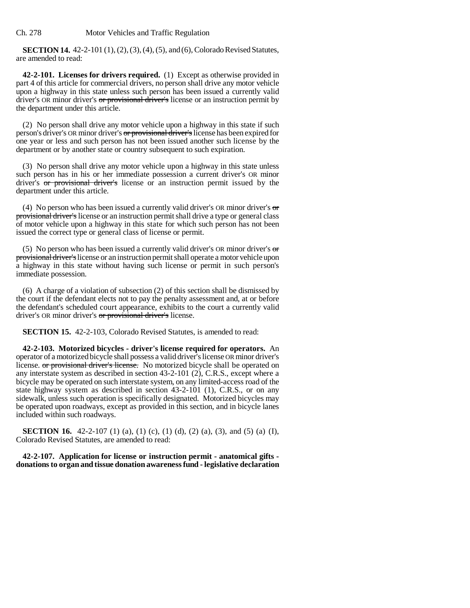**SECTION 14.** 42-2-101 (1), (2), (3), (4), (5), and (6), Colorado Revised Statutes, are amended to read:

**42-2-101. Licenses for drivers required.** (1) Except as otherwise provided in part 4 of this article for commercial drivers, no person shall drive any motor vehicle upon a highway in this state unless such person has been issued a currently valid driver's OR minor driver's or provisional driver's license or an instruction permit by the department under this article.

(2) No person shall drive any motor vehicle upon a highway in this state if such person's driver's OR minor driver's or provisional driver's license has been expired for one year or less and such person has not been issued another such license by the department or by another state or country subsequent to such expiration.

(3) No person shall drive any motor vehicle upon a highway in this state unless such person has in his or her immediate possession a current driver's OR minor driver's or provisional driver's license or an instruction permit issued by the department under this article.

(4) No person who has been issued a currently valid driver's OR minor driver's  $\sigma$ provisional driver's license or an instruction permit shall drive a type or general class of motor vehicle upon a highway in this state for which such person has not been issued the correct type or general class of license or permit.

(5) No person who has been issued a currently valid driver's OR minor driver's  $\sigma$ provisional driver's license or an instruction permit shall operate a motor vehicle upon a highway in this state without having such license or permit in such person's immediate possession.

(6) A charge of a violation of subsection (2) of this section shall be dismissed by the court if the defendant elects not to pay the penalty assessment and, at or before the defendant's scheduled court appearance, exhibits to the court a currently valid driver's OR minor driver's or provisional driver's license.

**SECTION 15.** 42-2-103, Colorado Revised Statutes, is amended to read:

**42-2-103. Motorized bicycles - driver's license required for operators.** An operator of a motorized bicycle shall possess a valid driver's license OR minor driver's license. or provisional driver's license. No motorized bicycle shall be operated on any interstate system as described in section 43-2-101 (2), C.R.S., except where a bicycle may be operated on such interstate system, on any limited-access road of the state highway system as described in section 43-2-101 (1), C.R.S., or on any sidewalk, unless such operation is specifically designated. Motorized bicycles may be operated upon roadways, except as provided in this section, and in bicycle lanes included within such roadways.

**SECTION 16.** 42-2-107 (1) (a), (1) (c), (1) (d), (2) (a), (3), and (5) (a) (I), Colorado Revised Statutes, are amended to read:

**42-2-107. Application for license or instruction permit - anatomical gifts donations to organ and tissue donation awareness fund - legislative declaration**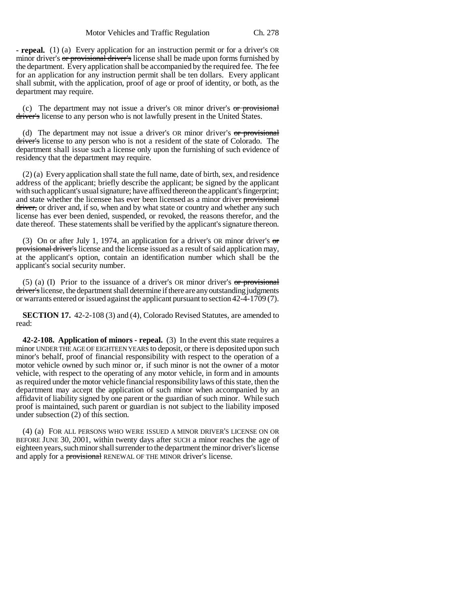**- repeal.** (1) (a) Every application for an instruction permit or for a driver's OR minor driver's or provisional driver's license shall be made upon forms furnished by the department. Every application shall be accompanied by the required fee. The fee for an application for any instruction permit shall be ten dollars. Every applicant shall submit, with the application, proof of age or proof of identity, or both, as the department may require.

(c) The department may not issue a driver's OR minor driver's or provisional driver's license to any person who is not lawfully present in the United States.

(d) The department may not issue a driver's OR minor driver's or provisional driver's license to any person who is not a resident of the state of Colorado. The department shall issue such a license only upon the furnishing of such evidence of residency that the department may require.

(2) (a) Every application shall state the full name, date of birth, sex, and residence address of the applicant; briefly describe the applicant; be signed by the applicant with such applicant's usual signature; have affixed thereon the applicant's fingerprint; and state whether the licensee has ever been licensed as a minor driver provisional driver, or driver and, if so, when and by what state or country and whether any such license has ever been denied, suspended, or revoked, the reasons therefor, and the date thereof. These statements shall be verified by the applicant's signature thereon.

(3) On or after July 1, 1974, an application for a driver's OR minor driver's  $\sigma$ provisional driver's license and the license issued as a result of said application may, at the applicant's option, contain an identification number which shall be the applicant's social security number.

(5) (a) (I) Prior to the issuance of a driver's OR minor driver's  $or$  provisional driver's license, the department shall determine if there are any outstanding judgments or warrants entered or issued against the applicant pursuant to section 42-4-1709 (7).

**SECTION 17.** 42-2-108 (3) and (4), Colorado Revised Statutes, are amended to read:

**42-2-108. Application of minors - repeal.** (3) In the event this state requires a minor UNDER THE AGE OF EIGHTEEN YEARS to deposit, or there is deposited upon such minor's behalf, proof of financial responsibility with respect to the operation of a motor vehicle owned by such minor or, if such minor is not the owner of a motor vehicle, with respect to the operating of any motor vehicle, in form and in amounts as required under the motor vehicle financial responsibility laws of this state, then the department may accept the application of such minor when accompanied by an affidavit of liability signed by one parent or the guardian of such minor. While such proof is maintained, such parent or guardian is not subject to the liability imposed under subsection (2) of this section.

(4) (a) FOR ALL PERSONS WHO WERE ISSUED A MINOR DRIVER'S LICENSE ON OR BEFORE JUNE 30, 2001, within twenty days after SUCH a minor reaches the age of eighteen years, such minor shall surrender to the department the minor driver's license and apply for a **provisional** RENEWAL OF THE MINOR driver's license.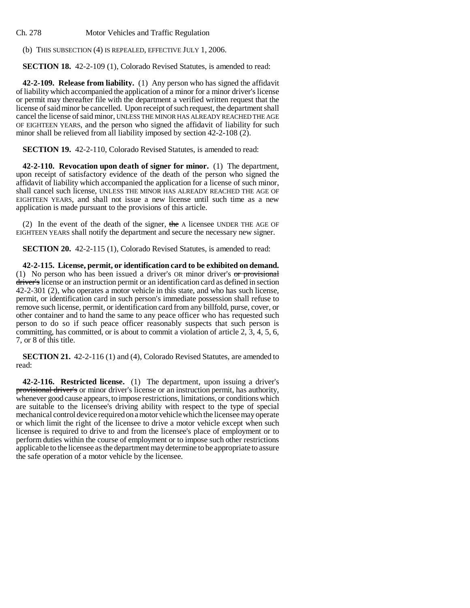Ch. 278 Motor Vehicles and Traffic Regulation

(b) THIS SUBSECTION (4) IS REPEALED, EFFECTIVE JULY 1, 2006.

**SECTION 18.** 42-2-109 (1), Colorado Revised Statutes, is amended to read:

**42-2-109. Release from liability.** (1) Any person who has signed the affidavit of liability which accompanied the application of a minor for a minor driver's license or permit may thereafter file with the department a verified written request that the license of said minor be cancelled. Upon receipt of such request, the department shall cancel the license of said minor, UNLESS THE MINOR HAS ALREADY REACHED THE AGE OF EIGHTEEN YEARS, and the person who signed the affidavit of liability for such minor shall be relieved from all liability imposed by section 42-2-108 (2).

**SECTION 19.** 42-2-110, Colorado Revised Statutes, is amended to read:

**42-2-110. Revocation upon death of signer for minor.** (1) The department, upon receipt of satisfactory evidence of the death of the person who signed the affidavit of liability which accompanied the application for a license of such minor, shall cancel such license, UNLESS THE MINOR HAS ALREADY REACHED THE AGE OF EIGHTEEN YEARS, and shall not issue a new license until such time as a new application is made pursuant to the provisions of this article.

(2) In the event of the death of the signer, the A licensee UNDER THE AGE OF EIGHTEEN YEARS shall notify the department and secure the necessary new signer.

**SECTION 20.** 42-2-115 (1), Colorado Revised Statutes, is amended to read:

**42-2-115. License, permit, or identification card to be exhibited on demand.** (1) No person who has been issued a driver's OR minor driver's or provisional driver's license or an instruction permit or an identification card as defined in section 42-2-301 (2), who operates a motor vehicle in this state, and who has such license, permit, or identification card in such person's immediate possession shall refuse to remove such license, permit, or identification card from any billfold, purse, cover, or other container and to hand the same to any peace officer who has requested such person to do so if such peace officer reasonably suspects that such person is committing, has committed, or is about to commit a violation of article 2, 3, 4, 5, 6, 7, or 8 of this title.

**SECTION 21.** 42-2-116 (1) and (4), Colorado Revised Statutes, are amended to read:

**42-2-116. Restricted license.** (1) The department, upon issuing a driver's provisional driver's or minor driver's license or an instruction permit, has authority, whenever good cause appears, to impose restrictions, limitations, or conditions which are suitable to the licensee's driving ability with respect to the type of special mechanical control device required on a motor vehicle which the licensee may operate or which limit the right of the licensee to drive a motor vehicle except when such licensee is required to drive to and from the licensee's place of employment or to perform duties within the course of employment or to impose such other restrictions applicable to the licensee as the department may determine to be appropriate to assure the safe operation of a motor vehicle by the licensee.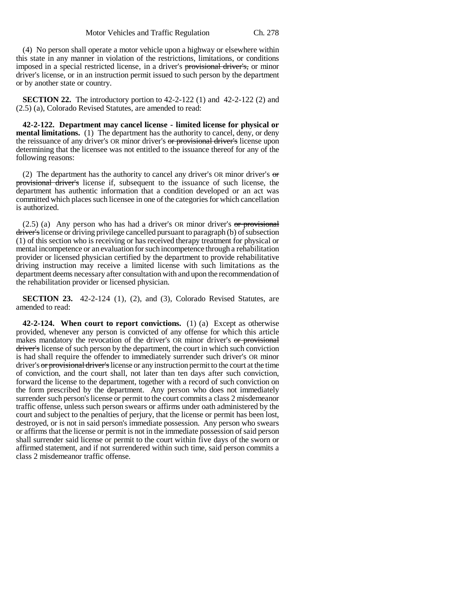(4) No person shall operate a motor vehicle upon a highway or elsewhere within this state in any manner in violation of the restrictions, limitations, or conditions imposed in a special restricted license, in a driver's provisional driver's, or minor driver's license, or in an instruction permit issued to such person by the department

**SECTION 22.** The introductory portion to 42-2-122 (1) and 42-2-122 (2) and (2.5) (a), Colorado Revised Statutes, are amended to read:

or by another state or country.

**42-2-122. Department may cancel license - limited license for physical or mental limitations.** (1) The department has the authority to cancel, deny, or deny the reissuance of any driver's OR minor driver's or provisional driver's license upon determining that the licensee was not entitled to the issuance thereof for any of the following reasons:

(2) The department has the authority to cancel any driver's OR minor driver's  $\sigma$ provisional driver's license if, subsequent to the issuance of such license, the department has authentic information that a condition developed or an act was committed which places such licensee in one of the categories for which cancellation is authorized.

 $(2.5)$  (a) Any person who has had a driver's OR minor driver's  $or$  provisional driver's license or driving privilege cancelled pursuant to paragraph (b) of subsection (1) of this section who is receiving or has received therapy treatment for physical or mental incompetence or an evaluation for such incompetence through a rehabilitation provider or licensed physician certified by the department to provide rehabilitative driving instruction may receive a limited license with such limitations as the department deems necessary after consultation with and upon the recommendation of the rehabilitation provider or licensed physician.

**SECTION 23.** 42-2-124 (1), (2), and (3), Colorado Revised Statutes, are amended to read:

**42-2-124. When court to report convictions.** (1) (a) Except as otherwise provided, whenever any person is convicted of any offense for which this article makes mandatory the revocation of the driver's OR minor driver's or provisional driver's license of such person by the department, the court in which such conviction is had shall require the offender to immediately surrender such driver's OR minor driver's or provisional driver's license or any instruction permit to the court at the time of conviction, and the court shall, not later than ten days after such conviction, forward the license to the department, together with a record of such conviction on the form prescribed by the department. Any person who does not immediately surrender such person's license or permit to the court commits a class 2 misdemeanor traffic offense, unless such person swears or affirms under oath administered by the court and subject to the penalties of perjury, that the license or permit has been lost, destroyed, or is not in said person's immediate possession. Any person who swears or affirms that the license or permit is not in the immediate possession of said person shall surrender said license or permit to the court within five days of the sworn or affirmed statement, and if not surrendered within such time, said person commits a class 2 misdemeanor traffic offense.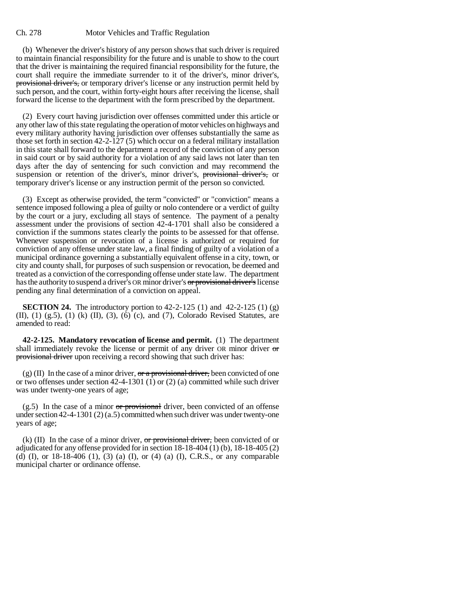## Ch. 278 Motor Vehicles and Traffic Regulation

(b) Whenever the driver's history of any person shows that such driver is required to maintain financial responsibility for the future and is unable to show to the court that the driver is maintaining the required financial responsibility for the future, the court shall require the immediate surrender to it of the driver's, minor driver's, provisional driver's, or temporary driver's license or any instruction permit held by such person, and the court, within forty-eight hours after receiving the license, shall forward the license to the department with the form prescribed by the department.

(2) Every court having jurisdiction over offenses committed under this article or any other law of this state regulating the operation of motor vehicles on highways and every military authority having jurisdiction over offenses substantially the same as those set forth in section 42-2-127 (5) which occur on a federal military installation in this state shall forward to the department a record of the conviction of any person in said court or by said authority for a violation of any said laws not later than ten days after the day of sentencing for such conviction and may recommend the suspension or retention of the driver's, minor driver's, provisional driver's, or temporary driver's license or any instruction permit of the person so convicted.

(3) Except as otherwise provided, the term "convicted" or "conviction" means a sentence imposed following a plea of guilty or nolo contendere or a verdict of guilty by the court or a jury, excluding all stays of sentence. The payment of a penalty assessment under the provisions of section 42-4-1701 shall also be considered a conviction if the summons states clearly the points to be assessed for that offense. Whenever suspension or revocation of a license is authorized or required for conviction of any offense under state law, a final finding of guilty of a violation of a municipal ordinance governing a substantially equivalent offense in a city, town, or city and county shall, for purposes of such suspension or revocation, be deemed and treated as a conviction of the corresponding offense under state law. The department has the authority to suspend a driver's OR minor driver's or provisional driver's license pending any final determination of a conviction on appeal.

**SECTION 24.** The introductory portion to 42-2-125 (1) and 42-2-125 (1) (g) (II), (1) (g.5), (1) (k) (II), (3), (6) (c), and (7), Colorado Revised Statutes, are amended to read:

**42-2-125. Mandatory revocation of license and permit.** (1) The department shall immediately revoke the license or permit of any driver OR minor driver  $\sigma$ provisional driver upon receiving a record showing that such driver has:

(g) (II) In the case of a minor driver,  $\sigma r$  a provisional driver, been convicted of one or two offenses under section  $42-4-1301$  (1) or (2) (a) committed while such driver was under twenty-one years of age;

 $(g.5)$  In the case of a minor or provisional driver, been convicted of an offense under section 42-4-1301 (2) (a.5) committed when such driver was under twenty-one years of age;

(k) (II) In the case of a minor driver,  $\sigma r$  provisional driver, been convicted of or adjudicated for any offense provided for in section 18-18-404 (1) (b), 18-18-405 (2) (d) (I), or  $18-18-406$  (1),  $(3)$  (a) (I), or (4) (a) (I), C.R.S., or any comparable municipal charter or ordinance offense.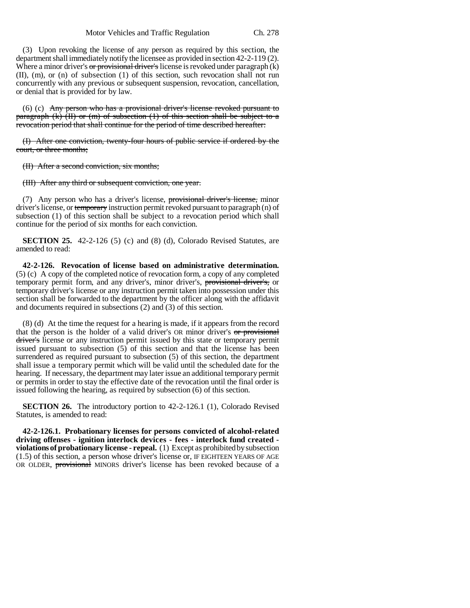(3) Upon revoking the license of any person as required by this section, the department shall immediately notify the licensee as provided in section 42-2-119 (2). Where a minor driver's  $\sigma r$  provisional driver's license is revoked under paragraph  $(k)$ (II), (m), or (n) of subsection (1) of this section, such revocation shall not run concurrently with any previous or subsequent suspension, revocation, cancellation, or denial that is provided for by law.

(6) (c) Any person who has a provisional driver's license revoked pursuant to paragraph  $(k)$  (II) or (m) of subsection (1) of this section shall be subject to a revocation period that shall continue for the period of time described hereafter:

(I) After one conviction, twenty-four hours of public service if ordered by the court, or three months;

(II) After a second conviction, six months;

(III) After any third or subsequent conviction, one year.

(7) Any person who has a driver's license, provisional driver's license, minor driver's license, or temporary instruction permit revoked pursuant to paragraph (n) of subsection (1) of this section shall be subject to a revocation period which shall continue for the period of six months for each conviction.

**SECTION 25.** 42-2-126 (5) (c) and (8) (d), Colorado Revised Statutes, are amended to read:

**42-2-126. Revocation of license based on administrative determination.** (5) (c) A copy of the completed notice of revocation form, a copy of any completed temporary permit form, and any driver's, minor driver's, provisional driver's, or temporary driver's license or any instruction permit taken into possession under this section shall be forwarded to the department by the officer along with the affidavit and documents required in subsections (2) and (3) of this section.

(8) (d) At the time the request for a hearing is made, if it appears from the record that the person is the holder of a valid driver's OR minor driver's or provisional driver's license or any instruction permit issued by this state or temporary permit issued pursuant to subsection (5) of this section and that the license has been surrendered as required pursuant to subsection (5) of this section, the department shall issue a temporary permit which will be valid until the scheduled date for the hearing. If necessary, the department may later issue an additional temporary permit or permits in order to stay the effective date of the revocation until the final order is issued following the hearing, as required by subsection (6) of this section.

**SECTION 26.** The introductory portion to 42-2-126.1 (1), Colorado Revised Statutes, is amended to read:

**42-2-126.1. Probationary licenses for persons convicted of alcohol-related driving offenses - ignition interlock devices - fees - interlock fund created violations of probationary license - repeal.** (1) Except as prohibited by subsection (1.5) of this section, a person whose driver's license or, IF EIGHTEEN YEARS OF AGE OR OLDER, provisional MINORS driver's license has been revoked because of a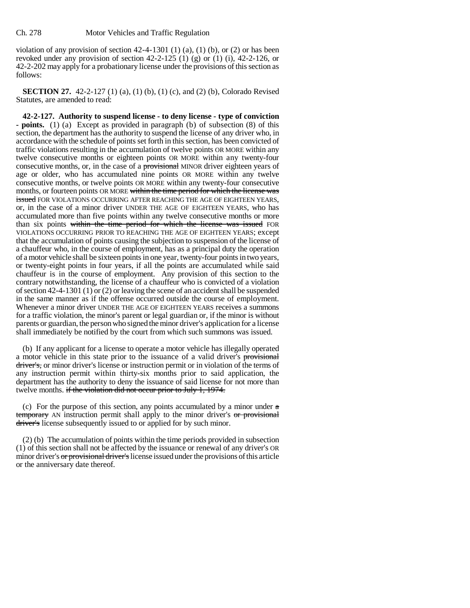violation of any provision of section  $42-4-1301$  (1) (a), (1) (b), or (2) or has been revoked under any provision of section  $42-2-125$  (1) (g) or (1) (i),  $42-2-126$ , or 42-2-202 may apply for a probationary license under the provisions of this section as follows:

**SECTION 27.** 42-2-127 (1) (a), (1) (b), (1) (c), and (2) (b), Colorado Revised Statutes, are amended to read:

**42-2-127. Authority to suspend license - to deny license - type of conviction - points.** (1) (a) Except as provided in paragraph (b) of subsection (8) of this section, the department has the authority to suspend the license of any driver who, in accordance with the schedule of points set forth in this section, has been convicted of traffic violations resulting in the accumulation of twelve points OR MORE within any twelve consecutive months or eighteen points OR MORE within any twenty-four consecutive months, or, in the case of a **provisional** MINOR driver eighteen years of age or older, who has accumulated nine points OR MORE within any twelve consecutive months, or twelve points OR MORE within any twenty-four consecutive months, or fourteen points OR MORE within the time period for which the license was issued FOR VIOLATIONS OCCURRING AFTER REACHING THE AGE OF EIGHTEEN YEARS, or, in the case of a minor driver UNDER THE AGE OF EIGHTEEN YEARS, who has accumulated more than five points within any twelve consecutive months or more than six points within the time period for which the license was issued FOR VIOLATIONS OCCURRING PRIOR TO REACHING THE AGE OF EIGHTEEN YEARS; except that the accumulation of points causing the subjection to suspension of the license of a chauffeur who, in the course of employment, has as a principal duty the operation of a motor vehicle shall be sixteen points in one year, twenty-four points in two years, or twenty-eight points in four years, if all the points are accumulated while said chauffeur is in the course of employment. Any provision of this section to the contrary notwithstanding, the license of a chauffeur who is convicted of a violation of section 42-4-1301 (1) or (2) or leaving the scene of an accident shall be suspended in the same manner as if the offense occurred outside the course of employment. Whenever a minor driver UNDER THE AGE OF EIGHTEEN YEARS receives a summons for a traffic violation, the minor's parent or legal guardian or, if the minor is without parents or guardian, the person who signed the minor driver's application for a license shall immediately be notified by the court from which such summons was issued.

(b) If any applicant for a license to operate a motor vehicle has illegally operated a motor vehicle in this state prior to the issuance of a valid driver's provisional driver's, or minor driver's license or instruction permit or in violation of the terms of any instruction permit within thirty-six months prior to said application, the department has the authority to deny the issuance of said license for not more than twelve months. if the violation did not occur prior to July 1, 1974.

(c) For the purpose of this section, any points accumulated by a minor under  $\alpha$ temporary AN instruction permit shall apply to the minor driver's or provisional driver's license subsequently issued to or applied for by such minor.

(2) (b) The accumulation of points within the time periods provided in subsection (1) of this section shall not be affected by the issuance or renewal of any driver's OR minor driver's or provisional driver's license issued under the provisions of this article or the anniversary date thereof.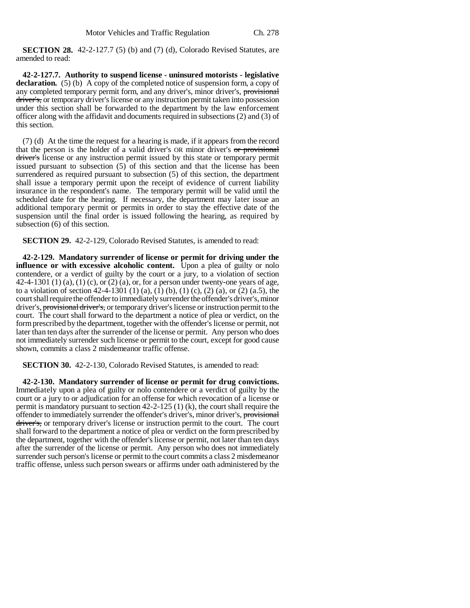**SECTION 28.** 42-2-127.7 (5) (b) and (7) (d), Colorado Revised Statutes, are amended to read:

**42-2-127.7. Authority to suspend license - uninsured motorists - legislative declaration.** (5) (b) A copy of the completed notice of suspension form, a copy of any completed temporary permit form, and any driver's, minor driver's, provisional driver's, or temporary driver's license or any instruction permit taken into possession under this section shall be forwarded to the department by the law enforcement officer along with the affidavit and documents required in subsections (2) and (3) of this section.

(7) (d) At the time the request for a hearing is made, if it appears from the record that the person is the holder of a valid driver's OR minor driver's or provisional driver's license or any instruction permit issued by this state or temporary permit issued pursuant to subsection (5) of this section and that the license has been surrendered as required pursuant to subsection (5) of this section, the department shall issue a temporary permit upon the receipt of evidence of current liability insurance in the respondent's name. The temporary permit will be valid until the scheduled date for the hearing. If necessary, the department may later issue an additional temporary permit or permits in order to stay the effective date of the suspension until the final order is issued following the hearing, as required by subsection (6) of this section.

**SECTION 29.** 42-2-129, Colorado Revised Statutes, is amended to read:

**42-2-129. Mandatory surrender of license or permit for driving under the influence or with excessive alcoholic content.** Upon a plea of guilty or nolo contendere, or a verdict of guilty by the court or a jury, to a violation of section 42-4-1301 (1) (a), (1) (c), or (2) (a), or, for a person under twenty-one years of age, to a violation of section 42-4-1301 (1) (a), (1) (b), (1) (c), (2) (a), or (2) (a.5), the court shall require the offender to immediately surrender the offender's driver's, minor driver's, provisional driver's, or temporary driver's license or instruction permit to the court. The court shall forward to the department a notice of plea or verdict, on the form prescribed by the department, together with the offender's license or permit, not later than ten days after the surrender of the license or permit. Any person who does not immediately surrender such license or permit to the court, except for good cause shown, commits a class 2 misdemeanor traffic offense.

**SECTION 30.** 42-2-130, Colorado Revised Statutes, is amended to read:

**42-2-130. Mandatory surrender of license or permit for drug convictions.** Immediately upon a plea of guilty or nolo contendere or a verdict of guilty by the court or a jury to or adjudication for an offense for which revocation of a license or permit is mandatory pursuant to section 42-2-125 (1) (k), the court shall require the offender to immediately surrender the offender's driver's, minor driver's, provisional driver's, or temporary driver's license or instruction permit to the court. The court shall forward to the department a notice of plea or verdict on the form prescribed by the department, together with the offender's license or permit, not later than ten days after the surrender of the license or permit. Any person who does not immediately surrender such person's license or permit to the court commits a class 2 misdemeanor traffic offense, unless such person swears or affirms under oath administered by the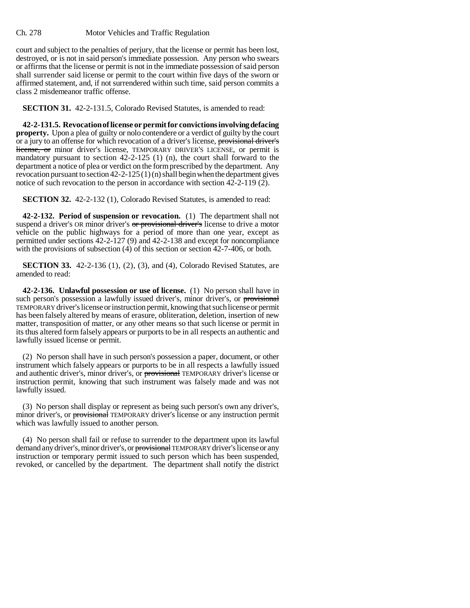## Ch. 278 Motor Vehicles and Traffic Regulation

court and subject to the penalties of perjury, that the license or permit has been lost, destroyed, or is not in said person's immediate possession. Any person who swears or affirms that the license or permit is not in the immediate possession of said person shall surrender said license or permit to the court within five days of the sworn or affirmed statement, and, if not surrendered within such time, said person commits a class 2 misdemeanor traffic offense.

**SECTION 31.** 42-2-131.5, Colorado Revised Statutes, is amended to read:

**42-2-131.5. Revocation of license or permit for convictions involving defacing property.** Upon a plea of guilty or nolo contendere or a verdict of guilty by the court or a jury to an offense for which revocation of a driver's license, provisional driver's license, or minor driver's license, TEMPORARY DRIVER'S LICENSE, or permit is mandatory pursuant to section 42-2-125 (1) (n), the court shall forward to the department a notice of plea or verdict on the form prescribed by the department. Any revocation pursuant to section 42-2-125 (1) (n) shall begin when the department gives notice of such revocation to the person in accordance with section 42-2-119 (2).

**SECTION 32.** 42-2-132 (1), Colorado Revised Statutes, is amended to read:

**42-2-132. Period of suspension or revocation.** (1) The department shall not suspend a driver's OR minor driver's or provisional driver's license to drive a motor vehicle on the public highways for a period of more than one year, except as permitted under sections 42-2-127 (9) and 42-2-138 and except for noncompliance with the provisions of subsection (4) of this section or section 42-7-406, or both.

**SECTION 33.** 42-2-136 (1), (2), (3), and (4), Colorado Revised Statutes, are amended to read:

**42-2-136. Unlawful possession or use of license.** (1) No person shall have in such person's possession a lawfully issued driver's, minor driver's, or provisional TEMPORARY driver's license or instruction permit, knowing that such license or permit has been falsely altered by means of erasure, obliteration, deletion, insertion of new matter, transposition of matter, or any other means so that such license or permit in its thus altered form falsely appears or purports to be in all respects an authentic and lawfully issued license or permit.

(2) No person shall have in such person's possession a paper, document, or other instrument which falsely appears or purports to be in all respects a lawfully issued and authentic driver's, minor driver's, or provisional TEMPORARY driver's license or instruction permit, knowing that such instrument was falsely made and was not lawfully issued.

(3) No person shall display or represent as being such person's own any driver's, minor driver's, or provisional TEMPORARY driver's license or any instruction permit which was lawfully issued to another person.

(4) No person shall fail or refuse to surrender to the department upon its lawful demand any driver's, minor driver's, or provisional TEMPORARY driver's license or any instruction or temporary permit issued to such person which has been suspended, revoked, or cancelled by the department. The department shall notify the district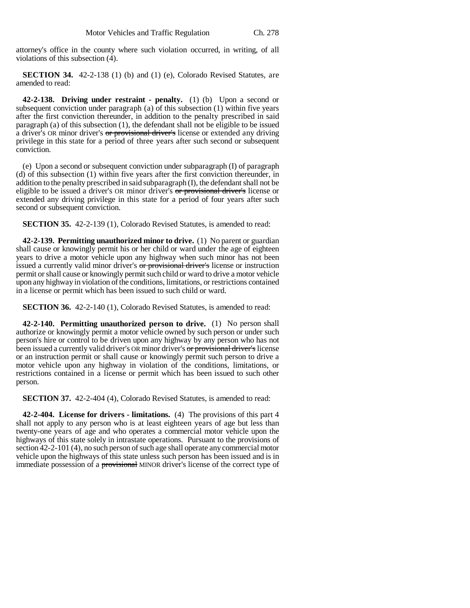attorney's office in the county where such violation occurred, in writing, of all violations of this subsection (4).

**SECTION 34.** 42-2-138 (1) (b) and (1) (e), Colorado Revised Statutes, are amended to read:

**42-2-138. Driving under restraint - penalty.** (1) (b) Upon a second or subsequent conviction under paragraph (a) of this subsection (1) within five years after the first conviction thereunder, in addition to the penalty prescribed in said paragraph (a) of this subsection (1), the defendant shall not be eligible to be issued a driver's OR minor driver's or provisional driver's license or extended any driving privilege in this state for a period of three years after such second or subsequent conviction.

(e) Upon a second or subsequent conviction under subparagraph (I) of paragraph (d) of this subsection (1) within five years after the first conviction thereunder, in addition to the penalty prescribed in said subparagraph (I), the defendant shall not be eligible to be issued a driver's OR minor driver's or provisional driver's license or extended any driving privilege in this state for a period of four years after such second or subsequent conviction.

**SECTION 35.** 42-2-139 (1), Colorado Revised Statutes, is amended to read:

**42-2-139. Permitting unauthorized minor to drive.** (1) No parent or guardian shall cause or knowingly permit his or her child or ward under the age of eighteen years to drive a motor vehicle upon any highway when such minor has not been issued a currently valid minor driver's or provisional driver's license or instruction permit or shall cause or knowingly permit such child or ward to drive a motor vehicle upon any highway in violation of the conditions, limitations, or restrictions contained in a license or permit which has been issued to such child or ward.

**SECTION 36.** 42-2-140 (1), Colorado Revised Statutes, is amended to read:

**42-2-140. Permitting unauthorized person to drive.** (1) No person shall authorize or knowingly permit a motor vehicle owned by such person or under such person's hire or control to be driven upon any highway by any person who has not been issued a currently valid driver's OR minor driver's or provisional driver's license or an instruction permit or shall cause or knowingly permit such person to drive a motor vehicle upon any highway in violation of the conditions, limitations, or restrictions contained in a license or permit which has been issued to such other person.

**SECTION 37.** 42-2-404 (4), Colorado Revised Statutes, is amended to read:

**42-2-404. License for drivers - limitations.** (4) The provisions of this part 4 shall not apply to any person who is at least eighteen years of age but less than twenty-one years of age and who operates a commercial motor vehicle upon the highways of this state solely in intrastate operations. Pursuant to the provisions of section 42-2-101 (4), no such person of such age shall operate any commercial motor vehicle upon the highways of this state unless such person has been issued and is in immediate possession of a **provisional** MINOR driver's license of the correct type of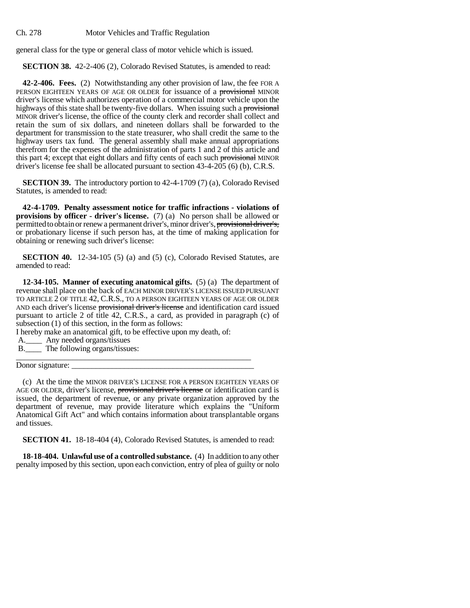Ch. 278 Motor Vehicles and Traffic Regulation

general class for the type or general class of motor vehicle which is issued.

**SECTION 38.** 42-2-406 (2), Colorado Revised Statutes, is amended to read:

**42-2-406. Fees.** (2) Notwithstanding any other provision of law, the fee FOR A PERSON EIGHTEEN YEARS OF AGE OR OLDER for issuance of a provisional MINOR driver's license which authorizes operation of a commercial motor vehicle upon the highways of this state shall be twenty-five dollars. When issuing such a provisional MINOR driver's license, the office of the county clerk and recorder shall collect and retain the sum of six dollars, and nineteen dollars shall be forwarded to the department for transmission to the state treasurer, who shall credit the same to the highway users tax fund. The general assembly shall make annual appropriations therefrom for the expenses of the administration of parts 1 and 2 of this article and this part 4; except that eight dollars and fifty cents of each such provisional MINOR driver's license fee shall be allocated pursuant to section 43-4-205 (6) (b), C.R.S.

**SECTION 39.** The introductory portion to 42-4-1709 (7) (a), Colorado Revised Statutes, is amended to read:

**42-4-1709. Penalty assessment notice for traffic infractions - violations of provisions by officer - driver's license.** (7) (a) No person shall be allowed or permitted to obtain or renew a permanent driver's, minor driver's, provisional driver's, or probationary license if such person has, at the time of making application for obtaining or renewing such driver's license:

**SECTION 40.** 12-34-105 (5) (a) and (5) (c), Colorado Revised Statutes, are amended to read:

**12-34-105. Manner of executing anatomical gifts.** (5) (a) The department of revenue shall place on the back of EACH MINOR DRIVER'S LICENSE ISSUED PURSUANT TO ARTICLE 2 OF TITLE 42, C.R.S., TO A PERSON EIGHTEEN YEARS OF AGE OR OLDER AND each driver's license provisional driver's license and identification card issued pursuant to article 2 of title 42, C.R.S., a card, as provided in paragraph (c) of subsection (1) of this section, in the form as follows:

I hereby make an anatomical gift, to be effective upon my death, of:

- A.\_\_\_\_ Any needed organs/tissues
- B.\_\_\_\_ The following organs/tissues: \_\_\_\_\_\_\_\_\_\_\_\_\_\_\_\_\_\_\_\_\_\_\_\_\_\_\_\_\_\_\_\_\_\_\_\_\_\_\_\_\_\_\_\_\_\_\_\_\_\_\_\_\_\_\_\_\_\_

Donor signature:

(c) At the time the MINOR DRIVER'S LICENSE FOR A PERSON EIGHTEEN YEARS OF AGE OR OLDER, driver's license, provisional driver's license or identification card is issued, the department of revenue, or any private organization approved by the department of revenue, may provide literature which explains the "Uniform Anatomical Gift Act" and which contains information about transplantable organs and tissues.

**SECTION 41.** 18-18-404 (4), Colorado Revised Statutes, is amended to read:

**18-18-404. Unlawful use of a controlled substance.** (4) In addition to any other penalty imposed by this section, upon each conviction, entry of plea of guilty or nolo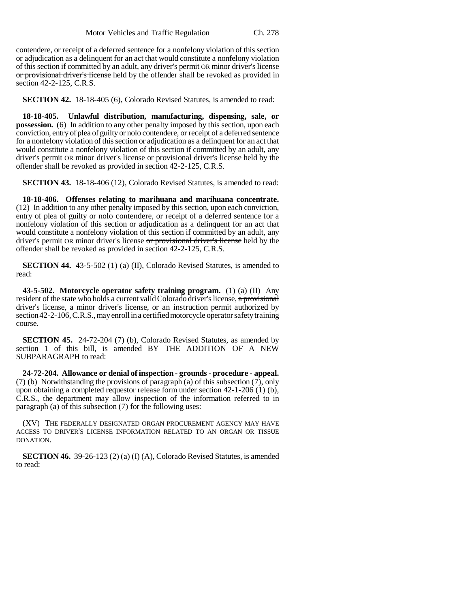contendere, or receipt of a deferred sentence for a nonfelony violation of this section or adjudication as a delinquent for an act that would constitute a nonfelony violation of this section if committed by an adult, any driver's permit OR minor driver's license or provisional driver's license held by the offender shall be revoked as provided in section 42-2-125, C.R.S.

**SECTION 42.** 18-18-405 (6), Colorado Revised Statutes, is amended to read:

**18-18-405. Unlawful distribution, manufacturing, dispensing, sale, or possession.** (6) In addition to any other penalty imposed by this section, upon each conviction, entry of plea of guilty or nolo contendere, or receipt of a deferred sentence for a nonfelony violation of this section or adjudication as a delinquent for an act that would constitute a nonfelony violation of this section if committed by an adult, any driver's permit OR minor driver's license or provisional driver's license held by the offender shall be revoked as provided in section 42-2-125, C.R.S.

**SECTION 43.** 18-18-406 (12), Colorado Revised Statutes, is amended to read:

**18-18-406. Offenses relating to marihuana and marihuana concentrate.** (12) In addition to any other penalty imposed by this section, upon each conviction, entry of plea of guilty or nolo contendere, or receipt of a deferred sentence for a nonfelony violation of this section or adjudication as a delinquent for an act that would constitute a nonfelony violation of this section if committed by an adult, any driver's permit OR minor driver's license or provisional driver's license held by the offender shall be revoked as provided in section 42-2-125, C.R.S.

**SECTION 44.** 43-5-502 (1) (a) (II), Colorado Revised Statutes, is amended to read:

**43-5-502. Motorcycle operator safety training program.** (1) (a) (II) Any resident of the state who holds a current valid Colorado driver's license, a provisional driver's license, a minor driver's license, or an instruction permit authorized by section 42-2-106, C.R.S., may enroll in a certified motorcycle operator safety training course.

**SECTION 45.** 24-72-204 (7) (b), Colorado Revised Statutes, as amended by section 1 of this bill, is amended BY THE ADDITION OF A NEW SUBPARAGRAPH to read:

**24-72-204. Allowance or denial of inspection - grounds - procedure - appeal.** (7) (b) Notwithstanding the provisions of paragraph (a) of this subsection (7), only upon obtaining a completed requestor release form under section 42-1-206 (1) (b), C.R.S., the department may allow inspection of the information referred to in paragraph (a) of this subsection (7) for the following uses:

(XV) THE FEDERALLY DESIGNATED ORGAN PROCUREMENT AGENCY MAY HAVE ACCESS TO DRIVER'S LICENSE INFORMATION RELATED TO AN ORGAN OR TISSUE DONATION.

**SECTION 46.** 39-26-123 (2) (a) (I) (A), Colorado Revised Statutes, is amended to read: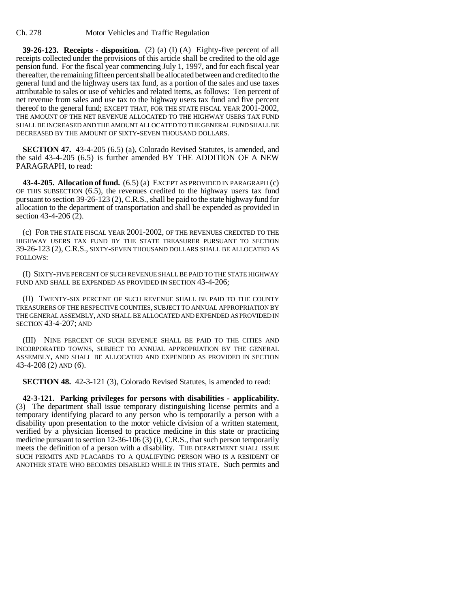**39-26-123. Receipts - disposition.** (2) (a) (I) (A) Eighty-five percent of all receipts collected under the provisions of this article shall be credited to the old age pension fund. For the fiscal year commencing July 1, 1997, and for each fiscal year thereafter, the remaining fifteen percent shall be allocated between and credited to the general fund and the highway users tax fund, as a portion of the sales and use taxes attributable to sales or use of vehicles and related items, as follows: Ten percent of net revenue from sales and use tax to the highway users tax fund and five percent thereof to the general fund; EXCEPT THAT, FOR THE STATE FISCAL YEAR 2001-2002, THE AMOUNT OF THE NET REVENUE ALLOCATED TO THE HIGHWAY USERS TAX FUND SHALL BE INCREASED AND THE AMOUNT ALLOCATED TO THE GENERAL FUND SHALL BE DECREASED BY THE AMOUNT OF SIXTY-SEVEN THOUSAND DOLLARS.

**SECTION 47.** 43-4-205 (6.5) (a), Colorado Revised Statutes, is amended, and the said 43-4-205 (6.5) is further amended BY THE ADDITION OF A NEW PARAGRAPH, to read:

**43-4-205. Allocation of fund.** (6.5) (a) EXCEPT AS PROVIDED IN PARAGRAPH (c) OF THIS SUBSECTION (6.5), the revenues credited to the highway users tax fund pursuant to section 39-26-123 (2), C.R.S., shall be paid to the state highway fund for allocation to the department of transportation and shall be expended as provided in section 43-4-206 (2).

(c) FOR THE STATE FISCAL YEAR 2001-2002, OF THE REVENUES CREDITED TO THE HIGHWAY USERS TAX FUND BY THE STATE TREASURER PURSUANT TO SECTION 39-26-123 (2), C.R.S., SIXTY-SEVEN THOUSAND DOLLARS SHALL BE ALLOCATED AS FOLLOWS:

(I) SIXTY-FIVE PERCENT OF SUCH REVENUE SHALL BE PAID TO THE STATE HIGHWAY FUND AND SHALL BE EXPENDED AS PROVIDED IN SECTION 43-4-206;

(II) TWENTY-SIX PERCENT OF SUCH REVENUE SHALL BE PAID TO THE COUNTY TREASURERS OF THE RESPECTIVE COUNTIES, SUBJECT TO ANNUAL APPROPRIATION BY THE GENERAL ASSEMBLY, AND SHALL BE ALLOCATED AND EXPENDED AS PROVIDED IN SECTION 43-4-207; AND

(III) NINE PERCENT OF SUCH REVENUE SHALL BE PAID TO THE CITIES AND INCORPORATED TOWNS, SUBJECT TO ANNUAL APPROPRIATION BY THE GENERAL ASSEMBLY, AND SHALL BE ALLOCATED AND EXPENDED AS PROVIDED IN SECTION 43-4-208 (2) AND (6).

**SECTION 48.** 42-3-121 (3), Colorado Revised Statutes, is amended to read:

**42-3-121. Parking privileges for persons with disabilities - applicability.** (3) The department shall issue temporary distinguishing license permits and a temporary identifying placard to any person who is temporarily a person with a disability upon presentation to the motor vehicle division of a written statement, verified by a physician licensed to practice medicine in this state or practicing medicine pursuant to section 12-36-106 (3) (i), C.R.S., that such person temporarily meets the definition of a person with a disability. THE DEPARTMENT SHALL ISSUE SUCH PERMITS AND PLACARDS TO A QUALIFYING PERSON WHO IS A RESIDENT OF ANOTHER STATE WHO BECOMES DISABLED WHILE IN THIS STATE. Such permits and